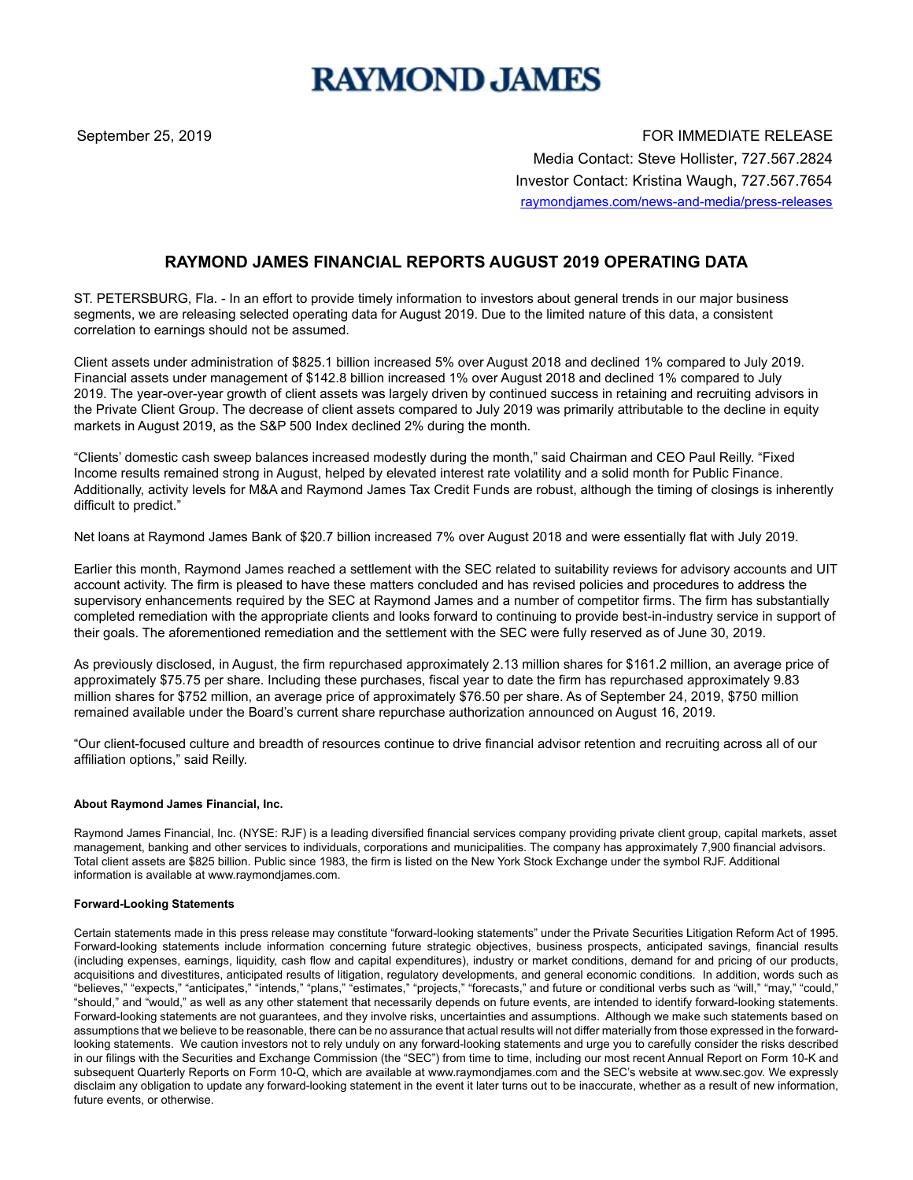# **RAYMOND JAMES**

September 25, 2019 FOR IMMEDIATE RELEASE Media Contact: Steve Hollister, 727.567.2824 Investor Contact: Kristina Waugh, 727.567.7654 raymondjames.com/news-and-media/press-releases

## **RAYMOND JAMES FINANCIAL REPORTS AUGUST 2019 OPERATING DATA**

ST. PETERSBURG, Fla. - In an effort to provide timely information to investors about general trends in our major business segments, we are releasing selected operating data for August 2019. Due to the limited nature of this data, a consistent correlation to earnings should not be assumed.

Client assets under administration of \$825.1 billion increased 5% over August 2018 and declined 1% compared to July 2019. Financial assets under management of \$142.8 billion increased 1% over August 2018 and declined 1% compared to July 2019. The year-over-year growth of client assets was largely driven by continued success in retaining and recruiting advisors in the Private Client Group. The decrease of client assets compared to July 2019 was primarily attributable to the decline in equity markets in August 2019, as the S&P 500 Index declined 2% during the month.

"Clients' domestic cash sweep balances increased modestly during the month," said Chairman and CEO Paul Reilly. "Fixed Income results remained strong in August, helped by elevated interest rate volatility and a solid month for Public Finance. Additionally, activity levels for M&A and Raymond James Tax Credit Funds are robust, although the timing of closings is inherently difficult to predict."

Net loans at Raymond James Bank of \$20.7 billion increased 7% over August 2018 and were essentially flat with July 2019.

Earlier this month, Raymond James reached a settlement with the SEC related to suitability reviews for advisory accounts and UIT account activity. The firm is pleased to have these matters concluded and has revised policies and procedures to address the supervisory enhancements required by the SEC at Raymond James and a number of competitor firms. The firm has substantially completed remediation with the appropriate clients and looks forward to continuing to provide best-in-industry service in support of their goals. The aforementioned remediation and the settlement with the SEC were fully reserved as of June 30, 2019.

As previously disclosed, in August, the firm repurchased approximately 2.13 million shares for \$161.2 million, an average price of approximately \$75.75 per share. Including these purchases, fiscal year to date the firm has repurchased approximately 9.83 million shares for \$752 million, an average price of approximately \$76.50 per share. As of September 24, 2019, \$750 million remained available under the Board's current share repurchase authorization announced on August 16, 2019.

"Our client-focused culture and breadth of resources continue to drive financial advisor retention and recruiting across all of our affiliation options," said Reilly.

#### **About Raymond James Financial, Inc.**

Raymond James Financial, Inc. (NYSE: RJF) is a leading diversified financial services company providing private client group, capital markets, asset management, banking and other services to individuals, corporations and municipalities. The company has approximately 7,900 financial advisors. Total client assets are \$825 billion. Public since 1983, the firm is listed on the New York Stock Exchange under the symbol RJF. Additional information is available at www.raymondjames.com.

#### **Forward-Looking Statements**

Certain statements made in this press release may constitute "forward-looking statements" under the Private Securities Litigation Reform Act of 1995. Forward-looking statements include information concerning future strategic objectives, business prospects, anticipated savings, financial results (including expenses, earnings, liquidity, cash flow and capital expenditures), industry or market conditions, demand for and pricing of our products, acquisitions and divestitures, anticipated results of litigation, regulatory developments, and general economic conditions. In addition, words such as "believes," "expects," "anticipates," "intends," "plans," "estimates," "projects," "forecasts," and future or conditional verbs such as "will," "may," "could," "should," and "would," as well as any other statement that necessarily depends on future events, are intended to identify forward-looking statements. Forward-looking statements are not guarantees, and they involve risks, uncertainties and assumptions. Although we make such statements based on assumptions that we believe to be reasonable, there can be no assurance that actual results will not differ materially from those expressed in the forwardlooking statements. We caution investors not to rely unduly on any forward-looking statements and urge you to carefully consider the risks described in our filings with the Securities and Exchange Commission (the "SEC") from time to time, including our most recent Annual Report on Form 10-K and subsequent Quarterly Reports on Form 10-Q, which are available at www.raymondjames.com and the SEC's website at www.sec.gov. We expressly disclaim any obligation to update any forward-looking statement in the event it later turns out to be inaccurate, whether as a result of new information, future events, or otherwise.